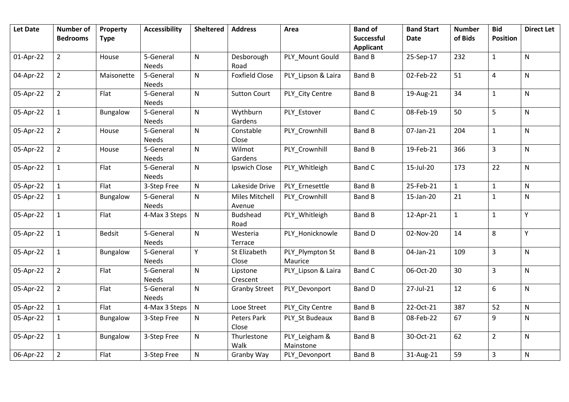| <b>Let Date</b> | <b>Number of</b><br><b>Bedrooms</b> | Property<br><b>Type</b> | <b>Accessibility</b>      | <b>Sheltered</b> | <b>Address</b>                  | Area                       | <b>Band of</b><br>Successful | <b>Band Start</b><br><b>Date</b> | <b>Number</b><br>of Bids | <b>Bid</b><br><b>Position</b> | <b>Direct Let</b> |
|-----------------|-------------------------------------|-------------------------|---------------------------|------------------|---------------------------------|----------------------------|------------------------------|----------------------------------|--------------------------|-------------------------------|-------------------|
|                 |                                     |                         |                           |                  |                                 |                            | <b>Applicant</b>             |                                  |                          |                               |                   |
| 01-Apr-22       | $\overline{2}$                      | House                   | 5-General                 | N                | Desborough                      | PLY_Mount Gould            | <b>Band B</b>                | 25-Sep-17                        | 232                      | $\mathbf{1}$                  | N                 |
|                 |                                     |                         | <b>Needs</b>              |                  | Road                            |                            |                              |                                  |                          |                               |                   |
| 04-Apr-22       | $\overline{2}$                      | Maisonette              | 5-General<br><b>Needs</b> | $\mathsf{N}$     | <b>Foxfield Close</b>           | PLY_Lipson & Laira         | <b>Band B</b>                | 02-Feb-22                        | 51                       | $\pmb{4}$                     | $\mathsf{N}$      |
| 05-Apr-22       | $\overline{2}$                      | Flat                    | 5-General<br><b>Needs</b> | N                | <b>Sutton Court</b>             | PLY City Centre            | <b>Band B</b>                | 19-Aug-21                        | 34                       | $\mathbf{1}$                  | ${\sf N}$         |
| 05-Apr-22       | $\mathbf{1}$                        | Bungalow                | 5-General<br>Needs        | N                | Wythburn<br>Gardens             | PLY Estover                | <b>Band C</b>                | 08-Feb-19                        | 50                       | 5                             | ${\sf N}$         |
| 05-Apr-22       | $\overline{2}$                      | House                   | 5-General<br>Needs        | N                | Constable<br>Close              | PLY Crownhill              | <b>Band B</b>                | 07-Jan-21                        | 204                      | $\mathbf{1}$                  | $\mathsf{N}$      |
| 05-Apr-22       | $\overline{2}$                      | House                   | 5-General<br>Needs        | N                | Wilmot<br>Gardens               | PLY Crownhill              | <b>Band B</b>                | 19-Feb-21                        | 366                      | $\overline{3}$                | N                 |
| 05-Apr-22       | $\mathbf{1}$                        | Flat                    | 5-General<br><b>Needs</b> | N                | Ipswich Close                   | PLY_Whitleigh              | <b>Band C</b>                | 15-Jul-20                        | 173                      | 22                            | $\mathsf{N}$      |
| 05-Apr-22       | $\mathbf{1}$                        | Flat                    | 3-Step Free               | N                | Lakeside Drive                  | PLY Ernesettle             | <b>Band B</b>                | 25-Feb-21                        | $\mathbf{1}$             | $\mathbf{1}$                  | ${\sf N}$         |
| 05-Apr-22       | 1                                   | Bungalow                | 5-General<br><b>Needs</b> | N                | <b>Miles Mitchell</b><br>Avenue | PLY Crownhill              | Band B                       | 15-Jan-20                        | 21                       | $\mathbf{1}$                  | N                 |
| 05-Apr-22       | $\mathbf{1}$                        | Flat                    | 4-Max 3 Steps             | $\mathsf{N}$     | <b>Budshead</b><br>Road         | PLY Whitleigh              | <b>Band B</b>                | 12-Apr-21                        | $\mathbf{1}$             | $\mathbf{1}$                  | Υ                 |
| 05-Apr-22       | $\mathbf{1}$                        | <b>Bedsit</b>           | 5-General<br><b>Needs</b> | N                | Westeria<br>Terrace             | PLY Honicknowle            | <b>Band D</b>                | 02-Nov-20                        | 14                       | 8                             | Y                 |
| 05-Apr-22       | $\mathbf{1}$                        | Bungalow                | 5-General<br><b>Needs</b> | Y                | St Elizabeth<br>Close           | PLY_Plympton St<br>Maurice | <b>Band B</b>                | 04-Jan-21                        | 109                      | $\overline{3}$                | $\mathsf{N}$      |
| 05-Apr-22       | $\overline{2}$                      | Flat                    | 5-General<br><b>Needs</b> | $\mathsf{N}$     | Lipstone<br>Crescent            | PLY_Lipson & Laira         | <b>Band C</b>                | 06-Oct-20                        | 30                       | $\overline{3}$                | $\mathsf{N}$      |
| 05-Apr-22       | $\overline{2}$                      | Flat                    | 5-General<br><b>Needs</b> | N                | <b>Granby Street</b>            | PLY Devonport              | <b>Band D</b>                | 27-Jul-21                        | 12                       | $6\,$                         | $\mathsf{N}$      |
| 05-Apr-22       | $\mathbf{1}$                        | Flat                    | 4-Max 3 Steps             | ${\sf N}$        | Looe Street                     | PLY City Centre            | <b>Band B</b>                | 22-Oct-21                        | 387                      | 52                            | ${\sf N}$         |
| 05-Apr-22       | $\mathbf{1}$                        | Bungalow                | 3-Step Free               | N                | Peters Park<br>Close            | PLY St Budeaux             | <b>Band B</b>                | 08-Feb-22                        | 67                       | 9                             | N                 |
| 05-Apr-22       | $\mathbf{1}$                        | Bungalow                | 3-Step Free               | N                | Thurlestone<br>Walk             | PLY Leigham &<br>Mainstone | <b>Band B</b>                | 30-Oct-21                        | 62                       | $\overline{2}$                | ${\sf N}$         |
| 06-Apr-22       | $\overline{2}$                      | Flat                    | 3-Step Free               | N                | Granby Way                      | PLY_Devonport              | <b>Band B</b>                | 31-Aug-21                        | 59                       | $\overline{3}$                | ${\sf N}$         |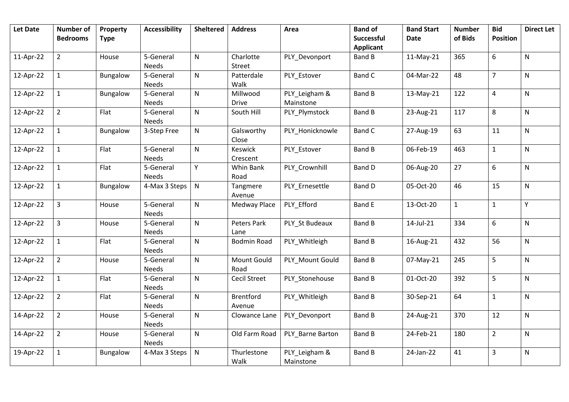| <b>Let Date</b> | <b>Number of</b><br><b>Bedrooms</b> | Property<br><b>Type</b> | <b>Accessibility</b>      | <b>Sheltered</b> | <b>Address</b>             | Area                       | <b>Band of</b><br>Successful | <b>Band Start</b><br><b>Date</b> | <b>Number</b><br>of Bids | <b>Bid</b><br><b>Position</b> | <b>Direct Let</b> |
|-----------------|-------------------------------------|-------------------------|---------------------------|------------------|----------------------------|----------------------------|------------------------------|----------------------------------|--------------------------|-------------------------------|-------------------|
|                 |                                     |                         |                           |                  |                            |                            | <b>Applicant</b>             |                                  |                          |                               |                   |
| 11-Apr-22       | $\overline{2}$                      | House                   | 5-General<br><b>Needs</b> | ${\sf N}$        | Charlotte<br>Street        | PLY Devonport              | <b>Band B</b>                | $11-May-21$                      | 365                      | 6                             | N                 |
| 12-Apr-22       | $\mathbf{1}$                        | Bungalow                | 5-General<br><b>Needs</b> | ${\sf N}$        | Patterdale<br>Walk         | PLY_Estover                | <b>Band C</b>                | 04-Mar-22                        | 48                       | $\overline{7}$                | N                 |
| 12-Apr-22       | $\mathbf{1}$                        | Bungalow                | 5-General<br><b>Needs</b> | ${\sf N}$        | Millwood<br><b>Drive</b>   | PLY Leigham &<br>Mainstone | Band B                       | 13-May-21                        | 122                      | $\pmb{4}$                     | N                 |
| 12-Apr-22       | $\overline{2}$                      | Flat                    | 5-General<br><b>Needs</b> | ${\sf N}$        | South Hill                 | PLY_Plymstock              | <b>Band B</b>                | 23-Aug-21                        | 117                      | 8                             | N                 |
| 12-Apr-22       | $\mathbf{1}$                        | Bungalow                | 3-Step Free               | $\mathsf{N}$     | Galsworthy<br>Close        | PLY_Honicknowle            | <b>Band C</b>                | 27-Aug-19                        | 63                       | 11                            | N                 |
| 12-Apr-22       | $\mathbf{1}$                        | Flat                    | 5-General<br><b>Needs</b> | $\mathsf{N}$     | Keswick<br>Crescent        | PLY_Estover                | <b>Band B</b>                | 06-Feb-19                        | 463                      | $\mathbf{1}$                  | N                 |
| 12-Apr-22       | $\mathbf{1}$                        | Flat                    | 5-General<br><b>Needs</b> | Y                | Whin Bank<br>Road          | PLY_Crownhill              | <b>Band D</b>                | 06-Aug-20                        | 27                       | 6                             | N                 |
| 12-Apr-22       | $\mathbf{1}$                        | Bungalow                | 4-Max 3 Steps             | ${\sf N}$        | Tangmere<br>Avenue         | PLY Ernesettle             | <b>Band D</b>                | 05-Oct-20                        | 46                       | 15                            | N                 |
| 12-Apr-22       | $\overline{3}$                      | House                   | 5-General<br><b>Needs</b> | $\mathsf{N}$     | Medway Place               | PLY Efford                 | <b>Band E</b>                | 13-Oct-20                        | $\mathbf{1}$             | $\mathbf{1}$                  | Y.                |
| 12-Apr-22       | $\overline{3}$                      | House                   | 5-General<br>Needs        | ${\sf N}$        | Peters Park<br>Lane        | PLY_St Budeaux             | <b>Band B</b>                | 14-Jul-21                        | 334                      | 6                             | N                 |
| 12-Apr-22       | $\mathbf{1}$                        | Flat                    | 5-General<br>Needs        | ${\sf N}$        | <b>Bodmin Road</b>         | PLY_Whitleigh              | <b>Band B</b>                | 16-Aug-21                        | 432                      | 56                            | N                 |
| 12-Apr-22       | $\overline{2}$                      | House                   | 5-General<br>Needs        | $\mathsf{N}$     | Mount Gould<br>Road        | PLY Mount Gould            | <b>Band B</b>                | 07-May-21                        | 245                      | 5                             | N                 |
| 12-Apr-22       | $\mathbf{1}$                        | Flat                    | 5-General<br>Needs        | ${\sf N}$        | Cecil Street               | PLY_Stonehouse             | <b>Band B</b>                | 01-Oct-20                        | 392                      | 5                             | N                 |
| 12-Apr-22       | $\overline{2}$                      | Flat                    | 5-General<br>Needs        | $\mathsf{N}$     | <b>Brentford</b><br>Avenue | PLY Whitleigh              | <b>Band B</b>                | 30-Sep-21                        | 64                       | $\mathbf{1}$                  | N                 |
| 14-Apr-22       | $\overline{2}$                      | House                   | 5-General<br>Needs        | $\mathsf{N}$     | Clowance Lane              | PLY Devonport              | <b>Band B</b>                | 24-Aug-21                        | 370                      | 12                            | N                 |
| 14-Apr-22       | $\overline{2}$                      | House                   | 5-General<br>Needs        | $\mathsf{N}$     | Old Farm Road              | PLY Barne Barton           | <b>Band B</b>                | 24-Feb-21                        | 180                      | $\overline{2}$                | N                 |
| 19-Apr-22       | $\mathbf{1}$                        | Bungalow                | 4-Max 3 Steps             | ${\sf N}$        | Thurlestone<br>Walk        | PLY_Leigham &<br>Mainstone | <b>Band B</b>                | 24-Jan-22                        | 41                       | $\overline{3}$                | N                 |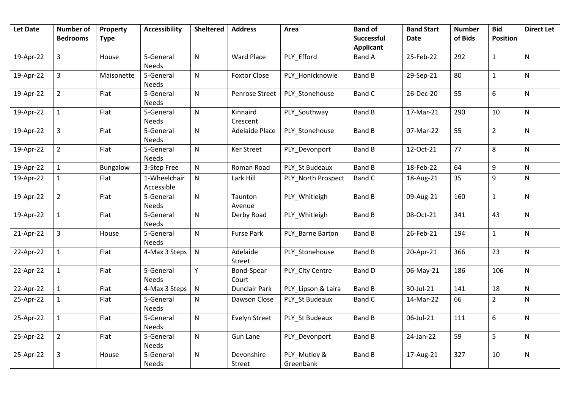| <b>Let Date</b> | <b>Number of</b><br><b>Bedrooms</b> | Property<br><b>Type</b> | <b>Accessibility</b>       | <b>Sheltered</b> | <b>Address</b>        | Area                      | <b>Band of</b><br><b>Successful</b> | <b>Band Start</b><br><b>Date</b> | <b>Number</b><br>of Bids | <b>Bid</b><br><b>Position</b> | <b>Direct Let</b> |
|-----------------|-------------------------------------|-------------------------|----------------------------|------------------|-----------------------|---------------------------|-------------------------------------|----------------------------------|--------------------------|-------------------------------|-------------------|
|                 |                                     |                         |                            |                  |                       |                           | <b>Applicant</b>                    |                                  |                          |                               |                   |
| 19-Apr-22       | 3                                   | House                   | 5-General<br>Needs         | $\mathsf{N}$     | Ward Place            | PLY_Efford                | <b>Band A</b>                       | 25-Feb-22                        | 292                      | $\mathbf{1}$                  | N                 |
| 19-Apr-22       | $\overline{3}$                      | Maisonette              | 5-General<br>Needs         | $\mathsf{N}$     | <b>Foxtor Close</b>   | PLY Honicknowle           | <b>Band B</b>                       | 29-Sep-21                        | 80                       | $\mathbf{1}$                  | N                 |
| 19-Apr-22       | $\overline{2}$                      | Flat                    | 5-General<br><b>Needs</b>  | $\mathsf{N}$     | Penrose Street        | PLY Stonehouse            | <b>Band C</b>                       | 26-Dec-20                        | 55                       | 6                             | N                 |
| 19-Apr-22       | $\mathbf{1}$                        | Flat                    | 5-General<br><b>Needs</b>  | ${\sf N}$        | Kinnaird<br>Crescent  | PLY_Southway              | <b>Band B</b>                       | 17-Mar-21                        | 290                      | 10                            | N                 |
| 19-Apr-22       | $\overline{3}$                      | Flat                    | 5-General<br><b>Needs</b>  | $\mathsf{N}$     | <b>Adelaide Place</b> | PLY Stonehouse            | <b>Band B</b>                       | 07-Mar-22                        | 55                       | $\overline{2}$                | N                 |
| 19-Apr-22       | $\overline{2}$                      | Flat                    | 5-General<br><b>Needs</b>  | $\mathsf{N}$     | Ker Street            | PLY Devonport             | <b>Band B</b>                       | 12-Oct-21                        | 77                       | 8                             | N                 |
| 19-Apr-22       | $\mathbf{1}$                        | Bungalow                | 3-Step Free                | ${\sf N}$        | Roman Road            | PLY_St Budeaux            | <b>Band B</b>                       | 18-Feb-22                        | 64                       | 9                             | N                 |
| 19-Apr-22       | $\mathbf{1}$                        | Flat                    | 1-Wheelchair<br>Accessible | ${\sf N}$        | Lark Hill             | PLY North Prospect        | <b>Band C</b>                       | 18-Aug-21                        | 35                       | 9                             | N                 |
| 19-Apr-22       | $\overline{2}$                      | Flat                    | 5-General<br><b>Needs</b>  | ${\sf N}$        | Taunton<br>Avenue     | PLY_Whitleigh             | <b>Band B</b>                       | 09-Aug-21                        | 160                      | $\mathbf{1}$                  | N                 |
| 19-Apr-22       | $\mathbf{1}$                        | Flat                    | 5-General<br><b>Needs</b>  | $\mathsf{N}$     | Derby Road            | PLY_Whitleigh             | <b>Band B</b>                       | 08-Oct-21                        | 341                      | 43                            | N                 |
| 21-Apr-22       | $\mathbf{3}$                        | House                   | 5-General<br><b>Needs</b>  | ${\sf N}$        | <b>Furse Park</b>     | PLY_Barne Barton          | <b>Band B</b>                       | 26-Feb-21                        | 194                      | $\mathbf{1}$                  | N                 |
| 22-Apr-22       | $\mathbf{1}$                        | Flat                    | 4-Max 3 Steps              | ${\sf N}$        | Adelaide<br>Street    | PLY_Stonehouse            | <b>Band B</b>                       | 20-Apr-21                        | 366                      | 23                            | N                 |
| 22-Apr-22       | $\mathbf{1}$                        | Flat                    | 5-General<br><b>Needs</b>  | Y                | Bond-Spear<br>Court   | PLY_City Centre           | <b>Band D</b>                       | 06-May-21                        | 186                      | 106                           | N                 |
| 22-Apr-22       | $\mathbf{1}$                        | Flat                    | 4-Max 3 Steps              | ${\sf N}$        | Dunclair Park         | PLY_Lipson & Laira        | <b>Band B</b>                       | 30-Jul-21                        | 141                      | 18                            | N                 |
| 25-Apr-22       | $\mathbf{1}$                        | Flat                    | 5-General<br>Needs         | ${\sf N}$        | Dawson Close          | PLY St Budeaux            | <b>Band C</b>                       | 14-Mar-22                        | 66                       | $\overline{2}$                | N                 |
| 25-Apr-22       | $\mathbf{1}$                        | Flat                    | 5-General<br>Needs         | ${\sf N}$        | Evelyn Street         | PLY St Budeaux            | <b>Band B</b>                       | 06-Jul-21                        | 111                      | 6                             | N                 |
| 25-Apr-22       | $\overline{2}$                      | Flat                    | 5-General<br>Needs         | ${\sf N}$        | <b>Gun Lane</b>       | PLY Devonport             | <b>Band B</b>                       | 24-Jan-22                        | 59                       | 5                             | N                 |
| 25-Apr-22       | 3                                   | House                   | 5-General<br>Needs         | ${\sf N}$        | Devonshire<br>Street  | PLY_Mutley &<br>Greenbank | <b>Band B</b>                       | 17-Aug-21                        | 327                      | 10                            | N                 |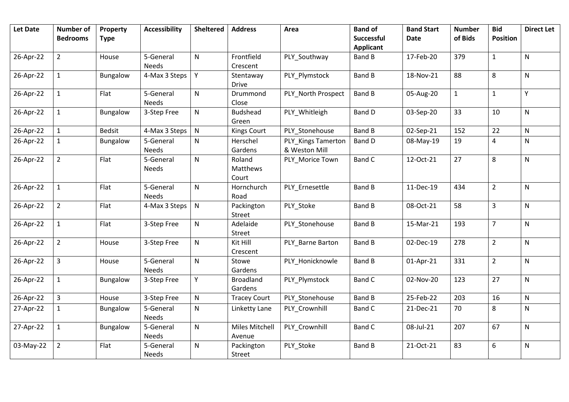| <b>Let Date</b> | <b>Number of</b><br><b>Bedrooms</b> | Property<br><b>Type</b> | <b>Accessibility</b> | <b>Sheltered</b> | <b>Address</b>        | Area               | <b>Band of</b><br><b>Successful</b> | <b>Band Start</b><br><b>Date</b> | <b>Number</b><br>of Bids | <b>Bid</b><br><b>Position</b> | <b>Direct Let</b> |
|-----------------|-------------------------------------|-------------------------|----------------------|------------------|-----------------------|--------------------|-------------------------------------|----------------------------------|--------------------------|-------------------------------|-------------------|
|                 |                                     |                         |                      |                  |                       |                    | <b>Applicant</b>                    |                                  |                          |                               |                   |
| 26-Apr-22       | $\overline{2}$                      | House                   | 5-General            | $\mathsf{N}$     | Frontfield            | PLY Southway       | <b>Band B</b>                       | 17-Feb-20                        | 379                      | $\mathbf{1}$                  | $\mathsf{N}$      |
|                 |                                     |                         | Needs                |                  | Crescent              |                    |                                     |                                  |                          |                               |                   |
| 26-Apr-22       | $\mathbf{1}$                        | Bungalow                | 4-Max 3 Steps        | Y                | Stentaway             | PLY Plymstock      | <b>Band B</b>                       | 18-Nov-21                        | 88                       | 8                             | N                 |
|                 |                                     |                         |                      |                  | <b>Drive</b>          |                    |                                     |                                  |                          |                               |                   |
| 26-Apr-22       | $\mathbf{1}$                        | Flat                    | 5-General            | $\mathsf{N}$     | Drummond              | PLY North Prospect | <b>Band B</b>                       | 05-Aug-20                        | $\mathbf{1}$             | $\mathbf{1}$                  | Y.                |
|                 |                                     |                         | <b>Needs</b>         |                  | Close                 |                    |                                     |                                  |                          |                               |                   |
| 26-Apr-22       | $\mathbf{1}$                        | Bungalow                | 3-Step Free          | N                | <b>Budshead</b>       | PLY Whitleigh      | <b>Band D</b>                       | 03-Sep-20                        | 33                       | 10                            | $\mathsf{N}$      |
|                 |                                     |                         |                      |                  | Green                 |                    |                                     |                                  |                          |                               |                   |
| 26-Apr-22       | $\mathbf{1}$                        | <b>Bedsit</b>           | 4-Max 3 Steps        | $\mathsf{N}$     | <b>Kings Court</b>    | PLY Stonehouse     | <b>Band B</b>                       | 02-Sep-21                        | 152                      | 22                            | $\mathsf{N}$      |
| 26-Apr-22       | $\mathbf{1}$                        | Bungalow                | 5-General            | ${\sf N}$        | Herschel              | PLY Kings Tamerton | Band D                              | 08-May-19                        | 19                       | $\overline{a}$                | ${\sf N}$         |
|                 |                                     |                         | Needs                |                  | Gardens               | & Weston Mill      |                                     |                                  |                          |                               |                   |
| 26-Apr-22       | $\overline{2}$                      | Flat                    | 5-General            | $\mathsf{N}$     | Roland                | PLY Morice Town    | <b>Band C</b>                       | 12-Oct-21                        | 27                       | 8                             | $\mathsf{N}$      |
|                 |                                     |                         | <b>Needs</b>         |                  | Matthews              |                    |                                     |                                  |                          |                               |                   |
|                 |                                     |                         | 5-General            |                  | Court                 |                    |                                     |                                  |                          |                               |                   |
| 26-Apr-22       | $\mathbf{1}$                        | Flat                    | <b>Needs</b>         | $\mathsf{N}$     | Hornchurch<br>Road    | PLY Ernesettle     | <b>Band B</b>                       | 11-Dec-19                        | 434                      | $\overline{2}$                | ${\sf N}$         |
| 26-Apr-22       | $\overline{2}$                      | Flat                    | 4-Max 3 Steps        | $\mathsf{N}$     | Packington            | PLY Stoke          | Band B                              | 08-Oct-21                        | 58                       | $\overline{3}$                | ${\sf N}$         |
|                 |                                     |                         |                      |                  | Street                |                    |                                     |                                  |                          |                               |                   |
| 26-Apr-22       | $\mathbf{1}$                        | Flat                    | 3-Step Free          | $\mathsf{N}$     | Adelaide              | PLY Stonehouse     | Band B                              | 15-Mar-21                        | 193                      | $\overline{7}$                | ${\sf N}$         |
|                 |                                     |                         |                      |                  | Street                |                    |                                     |                                  |                          |                               |                   |
| 26-Apr-22       | $\overline{2}$                      | House                   | 3-Step Free          | ${\sf N}$        | Kit Hill              | PLY Barne Barton   | <b>Band B</b>                       | 02-Dec-19                        | 278                      | $\overline{2}$                | ${\sf N}$         |
|                 |                                     |                         |                      |                  | Crescent              |                    |                                     |                                  |                          |                               |                   |
| 26-Apr-22       | $\overline{3}$                      | House                   | 5-General            | ${\sf N}$        | Stowe                 | PLY Honicknowle    | <b>Band B</b>                       | 01-Apr-21                        | 331                      | $\overline{2}$                | $\mathsf{N}$      |
|                 |                                     |                         | <b>Needs</b>         |                  | Gardens               |                    |                                     |                                  |                          |                               |                   |
| 26-Apr-22       | $\mathbf{1}$                        | Bungalow                | 3-Step Free          | Y                | <b>Broadland</b>      | PLY Plymstock      | <b>Band C</b>                       | 02-Nov-20                        | 123                      | 27                            | N                 |
|                 |                                     |                         |                      |                  | Gardens               |                    |                                     |                                  |                          |                               |                   |
| 26-Apr-22       | $\overline{3}$                      | House                   | 3-Step Free          | ${\sf N}$        | <b>Tracey Court</b>   | PLY Stonehouse     | <b>Band B</b>                       | 25-Feb-22                        | 203                      | 16                            | ${\sf N}$         |
| 27-Apr-22       | $\mathbf{1}$                        | <b>Bungalow</b>         | 5-General            | $\mathsf{N}$     | Linketty Lane         | PLY Crownhill      | Band C                              | 21-Dec-21                        | 70                       | 8                             | N                 |
|                 |                                     |                         | Needs                |                  |                       |                    |                                     |                                  |                          |                               |                   |
| 27-Apr-22       | $\mathbf{1}$                        | Bungalow                | 5-General            | $\mathsf{N}$     | <b>Miles Mitchell</b> | PLY Crownhill      | <b>Band C</b>                       | 08-Jul-21                        | 207                      | 67                            | ${\sf N}$         |
|                 |                                     |                         | Needs                |                  | Avenue                |                    |                                     |                                  |                          |                               |                   |
| 03-May-22       | $\overline{2}$                      | Flat                    | 5-General            | $\mathsf{N}$     | Packington            | PLY Stoke          | <b>Band B</b>                       | 21-Oct-21                        | 83                       | 6                             | ${\sf N}$         |
|                 |                                     |                         | Needs                |                  | Street                |                    |                                     |                                  |                          |                               |                   |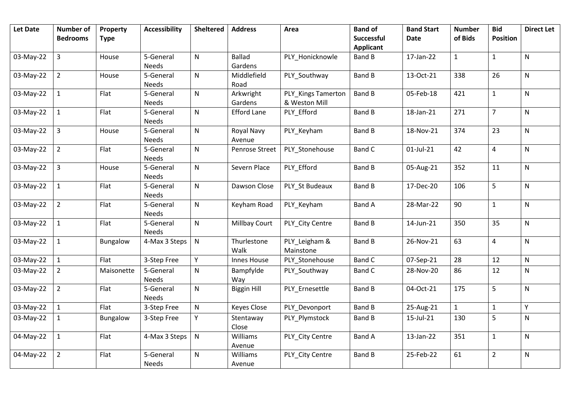| <b>Let Date</b> | <b>Number of</b><br><b>Bedrooms</b> | Property<br><b>Type</b> | <b>Accessibility</b>      | <b>Sheltered</b> | <b>Address</b>           | Area                                | <b>Band of</b><br>Successful | <b>Band Start</b><br>Date | <b>Number</b><br>of Bids | <b>Bid</b><br><b>Position</b> | <b>Direct Let</b> |
|-----------------|-------------------------------------|-------------------------|---------------------------|------------------|--------------------------|-------------------------------------|------------------------------|---------------------------|--------------------------|-------------------------------|-------------------|
|                 |                                     |                         |                           |                  |                          |                                     | <b>Applicant</b>             |                           |                          |                               |                   |
| 03-May-22       | $\overline{3}$                      | House                   | 5-General<br>Needs        | $\mathsf{N}$     | <b>Ballad</b><br>Gardens | PLY Honicknowle                     | <b>Band B</b>                | 17-Jan-22                 | $\mathbf{1}$             | $\mathbf{1}$                  | $\mathsf{N}$      |
| 03-May-22       | $\overline{2}$                      | House                   | 5-General<br><b>Needs</b> | ${\sf N}$        | Middlefield<br>Road      | PLY_Southway                        | <b>Band B</b>                | 13-Oct-21                 | 338                      | 26                            | $\mathsf{N}$      |
| 03-May-22       | $\mathbf{1}$                        | Flat                    | 5-General<br>Needs        | ${\sf N}$        | Arkwright<br>Gardens     | PLY_Kings Tamerton<br>& Weston Mill | <b>Band B</b>                | 05-Feb-18                 | 421                      | $\mathbf 1$                   | $\mathsf{N}$      |
| 03-May-22       | $\mathbf{1}$                        | Flat                    | 5-General<br>Needs        | ${\sf N}$        | <b>Efford Lane</b>       | PLY_Efford                          | <b>Band B</b>                | 18-Jan-21                 | 271                      | $\overline{7}$                | $\mathsf{N}$      |
| 03-May-22       | $\overline{3}$                      | House                   | 5-General<br>Needs        | ${\sf N}$        | Royal Navy<br>Avenue     | PLY_Keyham                          | <b>Band B</b>                | 18-Nov-21                 | 374                      | 23                            | $\mathsf{N}$      |
| 03-May-22       | $\overline{2}$                      | Flat                    | 5-General<br>Needs        | ${\sf N}$        | Penrose Street           | PLY_Stonehouse                      | <b>Band C</b>                | 01-Jul-21                 | 42                       | $\overline{4}$                | $\mathsf{N}$      |
| 03-May-22       | $\overline{3}$                      | House                   | 5-General<br>Needs        | ${\sf N}$        | Severn Place             | PLY_Efford                          | <b>Band B</b>                | 05-Aug-21                 | 352                      | 11                            | $\mathsf{N}$      |
| 03-May-22       | $\mathbf{1}$                        | Flat                    | 5-General<br>Needs        | ${\sf N}$        | Dawson Close             | PLY_St Budeaux                      | <b>Band B</b>                | 17-Dec-20                 | 106                      | 5                             | $\mathsf{N}$      |
| 03-May-22       | $\overline{2}$                      | Flat                    | 5-General<br>Needs        | ${\sf N}$        | Keyham Road              | PLY_Keyham                          | <b>Band A</b>                | 28-Mar-22                 | 90                       | $\mathbf{1}$                  | $\mathsf{N}$      |
| 03-May-22       | $\mathbf{1}$                        | Flat                    | 5-General<br><b>Needs</b> | ${\sf N}$        | Millbay Court            | PLY_City Centre                     | <b>Band B</b>                | 14-Jun-21                 | 350                      | 35                            | $\mathsf{N}$      |
| 03-May-22       | $\mathbf{1}$                        | Bungalow                | 4-Max 3 Steps             | ${\sf N}$        | Thurlestone<br>Walk      | PLY_Leigham &<br>Mainstone          | <b>Band B</b>                | 26-Nov-21                 | 63                       | $\overline{4}$                | $\mathsf{N}$      |
| 03-May-22       | $\mathbf{1}$                        | Flat                    | 3-Step Free               | Υ                | Innes House              | PLY_Stonehouse                      | <b>Band C</b>                | 07-Sep-21                 | 28                       | 12                            | ${\sf N}$         |
| 03-May-22       | $\overline{2}$                      | Maisonette              | 5-General<br><b>Needs</b> | ${\sf N}$        | Bampfylde<br>Way         | PLY_Southway                        | <b>Band C</b>                | 28-Nov-20                 | 86                       | 12                            | N                 |
| 03-May-22       | $\overline{2}$                      | Flat                    | 5-General<br><b>Needs</b> | ${\sf N}$        | <b>Biggin Hill</b>       | PLY_Ernesettle                      | <b>Band B</b>                | 04-Oct-21                 | 175                      | 5                             | N                 |
| 03-May-22       | $\mathbf{1}$                        | Flat                    | 3-Step Free               | ${\sf N}$        | <b>Keyes Close</b>       | PLY_Devonport                       | <b>Band B</b>                | 25-Aug-21                 | $\mathbf{1}$             | $\mathbf{1}$                  | Υ                 |
| 03-May-22       | $\mathbf{1}$                        | Bungalow                | 3-Step Free               | Y                | Stentaway<br>Close       | PLY Plymstock                       | <b>Band B</b>                | 15-Jul-21                 | 130                      | 5                             | $\mathsf{N}$      |
| 04-May-22       | $\mathbf{1}$                        | Flat                    | 4-Max 3 Steps             | N                | Williams<br>Avenue       | PLY City Centre                     | <b>Band A</b>                | 13-Jan-22                 | 351                      | $\mathbf{1}$                  | $\mathsf{N}$      |
| 04-May-22       | $\overline{2}$                      | Flat                    | 5-General<br>Needs        | ${\sf N}$        | Williams<br>Avenue       | PLY City Centre                     | <b>Band B</b>                | 25-Feb-22                 | 61                       | $\overline{2}$                | $\mathsf{N}$      |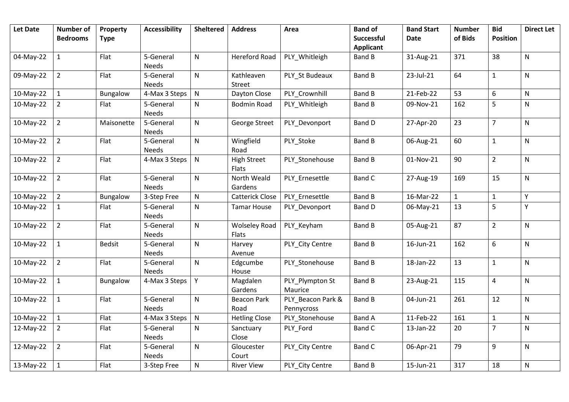| <b>Let Date</b> | Number of<br><b>Bedrooms</b> | Property<br><b>Type</b> | <b>Accessibility</b>      | <b>Sheltered</b> | <b>Address</b>                       | Area                            | <b>Band of</b><br>Successful | <b>Band Start</b><br><b>Date</b> | <b>Number</b><br>of Bids | <b>Bid</b><br><b>Position</b> | <b>Direct Let</b> |
|-----------------|------------------------------|-------------------------|---------------------------|------------------|--------------------------------------|---------------------------------|------------------------------|----------------------------------|--------------------------|-------------------------------|-------------------|
|                 |                              |                         |                           |                  |                                      |                                 | <b>Applicant</b>             |                                  |                          |                               |                   |
| 04-May-22       | $\mathbf{1}$                 | Flat                    | 5-General<br>Needs        | $\mathsf{N}$     | <b>Hereford Road</b>                 | PLY_Whitleigh                   | Band B                       | 31-Aug-21                        | 371                      | 38                            | N                 |
| 09-May-22       | $\overline{2}$               | Flat                    | 5-General<br><b>Needs</b> | ${\sf N}$        | Kathleaven<br>Street                 | PLY_St Budeaux                  | <b>Band B</b>                | 23-Jul-21                        | 64                       | $\mathbf{1}$                  | N                 |
| 10-May-22       | $\mathbf 1$                  | Bungalow                | 4-Max 3 Steps             | ${\sf N}$        | Dayton Close                         | PLY Crownhill                   | <b>Band B</b>                | 21-Feb-22                        | 53                       | 6                             | ${\sf N}$         |
| 10-May-22       | $\overline{2}$               | Flat                    | 5-General<br><b>Needs</b> | N                | <b>Bodmin Road</b>                   | PLY Whitleigh                   | <b>Band B</b>                | 09-Nov-21                        | 162                      | 5                             | N                 |
| 10-May-22       | $\overline{2}$               | Maisonette              | 5-General<br><b>Needs</b> | $\mathsf{N}$     | George Street                        | PLY_Devonport                   | <b>Band D</b>                | 27-Apr-20                        | 23                       | $\overline{7}$                | ${\sf N}$         |
| 10-May-22       | $\overline{2}$               | Flat                    | 5-General<br><b>Needs</b> | ${\sf N}$        | Wingfield<br>Road                    | PLY_Stoke                       | Band B                       | 06-Aug-21                        | 60                       | $\mathbf 1$                   | N                 |
| 10-May-22       | $\overline{2}$               | Flat                    | 4-Max 3 Steps             | $\mathsf{N}$     | <b>High Street</b><br><b>Flats</b>   | PLY Stonehouse                  | <b>Band B</b>                | 01-Nov-21                        | 90                       | $\overline{2}$                | N                 |
| 10-May-22       | $\overline{2}$               | Flat                    | 5-General<br>Needs        | ${\sf N}$        | North Weald<br>Gardens               | PLY_Ernesettle                  | <b>Band C</b>                | 27-Aug-19                        | 169                      | 15                            | N                 |
| 10-May-22       | $\overline{2}$               | Bungalow                | 3-Step Free               | ${\sf N}$        | <b>Catterick Close</b>               | PLY_Ernesettle                  | <b>Band B</b>                | 16-Mar-22                        | $\mathbf{1}$             | $\mathbf 1$                   | Y                 |
| 10-May-22       | $\mathbf{1}$                 | Flat                    | 5-General<br><b>Needs</b> | ${\sf N}$        | <b>Tamar House</b>                   | PLY Devonport                   | Band D                       | 06-May-21                        | 13                       | 5                             | Υ                 |
| 10-May-22       | $\overline{2}$               | Flat                    | 5-General<br>Needs        | ${\sf N}$        | <b>Wolseley Road</b><br><b>Flats</b> | PLY Keyham                      | <b>Band B</b>                | 05-Aug-21                        | 87                       | $\overline{2}$                | N                 |
| 10-May-22       | $\mathbf{1}$                 | <b>Bedsit</b>           | 5-General<br><b>Needs</b> | $\mathsf{N}$     | Harvey<br>Avenue                     | PLY City Centre                 | <b>Band B</b>                | 16-Jun-21                        | 162                      | 6                             | N                 |
| 10-May-22       | $\overline{2}$               | Flat                    | 5-General<br><b>Needs</b> | $\mathsf{N}$     | Edgcumbe<br>House                    | PLY_Stonehouse                  | <b>Band B</b>                | 18-Jan-22                        | 13                       | $\mathbf{1}$                  | N                 |
| 10-May-22       | $\mathbf{1}$                 | Bungalow                | 4-Max 3 Steps             | Y                | Magdalen<br>Gardens                  | PLY_Plympton St<br>Maurice      | <b>Band B</b>                | 23-Aug-21                        | 115                      | $\overline{4}$                | N                 |
| 10-May-22       | $\mathbf{1}$                 | Flat                    | 5-General<br><b>Needs</b> | ${\sf N}$        | <b>Beacon Park</b><br>Road           | PLY Beacon Park &<br>Pennycross | <b>Band B</b>                | 04-Jun-21                        | 261                      | 12                            | N                 |
| 10-May-22       | $\mathbf{1}$                 | Flat                    | 4-Max 3 Steps             | $\mathsf{N}$     | <b>Hetling Close</b>                 | PLY_Stonehouse                  | <b>Band A</b>                | 11-Feb-22                        | 161                      | $\mathbf{1}$                  | N                 |
| 12-May-22       | $\overline{2}$               | Flat                    | 5-General<br>Needs        | $\mathsf{N}$     | Sanctuary<br>Close                   | PLY_Ford                        | <b>Band C</b>                | 13-Jan-22                        | 20                       | $\overline{7}$                | N                 |
| 12-May-22       | $\overline{2}$               | Flat                    | 5-General<br><b>Needs</b> | ${\sf N}$        | Gloucester<br>Court                  | PLY_City Centre                 | <b>Band C</b>                | 06-Apr-21                        | 79                       | 9                             | N                 |
| 13-May-22       | $\mathbf{1}$                 | Flat                    | 3-Step Free               | ${\sf N}$        | <b>River View</b>                    | PLY City Centre                 | <b>Band B</b>                | 15-Jun-21                        | 317                      | 18                            | N                 |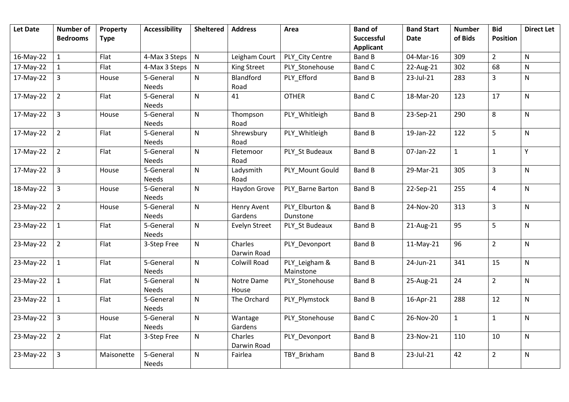| <b>Let Date</b> | <b>Number of</b><br><b>Bedrooms</b> | Property<br><b>Type</b> | <b>Accessibility</b>      | <b>Sheltered</b> | <b>Address</b>                | Area                       | <b>Band of</b><br><b>Successful</b> | <b>Band Start</b><br><b>Date</b> | <b>Number</b><br>of Bids | <b>Bid</b><br><b>Position</b> | <b>Direct Let</b> |
|-----------------|-------------------------------------|-------------------------|---------------------------|------------------|-------------------------------|----------------------------|-------------------------------------|----------------------------------|--------------------------|-------------------------------|-------------------|
|                 |                                     |                         |                           |                  |                               |                            | <b>Applicant</b>                    |                                  |                          |                               |                   |
| 16-May-22       | $1\,$                               | Flat                    | 4-Max 3 Steps             | ${\sf N}$        | Leigham Court                 | PLY City Centre            | <b>Band B</b>                       | 04-Mar-16                        | 309                      | $\overline{2}$                | N                 |
| 17-May-22       | 1                                   | Flat                    | 4-Max 3 Steps             | $\mathsf{N}$     | <b>King Street</b>            | PLY Stonehouse             | Band C                              | 22-Aug-21                        | 302                      | 68                            | N                 |
| 17-May-22       | $\overline{3}$                      | House                   | 5-General<br><b>Needs</b> | $\mathsf{N}$     | Blandford<br>Road             | PLY Efford                 | <b>Band B</b>                       | 23-Jul-21                        | 283                      | 3                             | $\mathsf{N}$      |
| 17-May-22       | $\overline{2}$                      | Flat                    | 5-General<br><b>Needs</b> | $\mathsf{N}$     | 41                            | <b>OTHER</b>               | <b>Band C</b>                       | 18-Mar-20                        | 123                      | 17                            | $\mathsf{N}$      |
| 17-May-22       | $\overline{3}$                      | House                   | 5-General<br><b>Needs</b> | $\mathsf{N}$     | Thompson<br>Road              | PLY Whitleigh              | <b>Band B</b>                       | 23-Sep-21                        | 290                      | 8                             | $\mathsf{N}$      |
| 17-May-22       | $\overline{2}$                      | Flat                    | 5-General<br><b>Needs</b> | $\mathsf{N}$     | Shrewsbury<br>Road            | PLY Whitleigh              | <b>Band B</b>                       | 19-Jan-22                        | 122                      | 5                             | N                 |
| 17-May-22       | $\overline{2}$                      | Flat                    | 5-General<br><b>Needs</b> | $\mathsf{N}$     | Fletemoor<br>Road             | PLY_St Budeaux             | <b>Band B</b>                       | 07-Jan-22                        | $\mathbf{1}$             | $\mathbf{1}$                  | Υ                 |
| 17-May-22       | $\overline{3}$                      | House                   | 5-General<br><b>Needs</b> | $\mathsf{N}$     | Ladysmith<br>Road             | PLY Mount Gould            | <b>Band B</b>                       | 29-Mar-21                        | 305                      | $\overline{3}$                | $\mathsf{N}$      |
| 18-May-22       | $\overline{3}$                      | House                   | 5-General<br><b>Needs</b> | $\mathsf{N}$     | Haydon Grove                  | PLY Barne Barton           | <b>Band B</b>                       | 22-Sep-21                        | 255                      | $\overline{4}$                | N                 |
| 23-May-22       | $\overline{2}$                      | House                   | 5-General<br>Needs        | $\mathsf{N}$     | <b>Henry Avent</b><br>Gardens | PLY Elburton &<br>Dunstone | <b>Band B</b>                       | 24-Nov-20                        | 313                      | $\overline{3}$                | N                 |
| 23-May-22       | $\mathbf{1}$                        | Flat                    | 5-General<br>Needs        | $\mathsf{N}$     | <b>Evelyn Street</b>          | PLY St Budeaux             | <b>Band B</b>                       | 21-Aug-21                        | 95                       | 5                             | N                 |
| 23-May-22       | $\overline{2}$                      | Flat                    | 3-Step Free               | $\mathsf{N}$     | Charles<br>Darwin Road        | PLY Devonport              | <b>Band B</b>                       | $11-May-21$                      | 96                       | $\overline{2}$                | N                 |
| 23-May-22       | $\mathbf{1}$                        | Flat                    | 5-General<br>Needs        | $\mathsf{N}$     | Colwill Road                  | PLY_Leigham &<br>Mainstone | <b>Band B</b>                       | 24-Jun-21                        | 341                      | 15                            | N                 |
| 23-May-22       | $\mathbf{1}$                        | Flat                    | 5-General<br>Needs        | $\mathsf{N}$     | Notre Dame<br>House           | PLY_Stonehouse             | <b>Band B</b>                       | 25-Aug-21                        | 24                       | $\overline{2}$                | N                 |
| 23-May-22       | $\mathbf{1}$                        | Flat                    | 5-General<br>Needs        | $\mathsf{N}$     | The Orchard                   | PLY Plymstock              | <b>Band B</b>                       | 16-Apr-21                        | 288                      | 12                            | N                 |
| 23-May-22       | $\overline{3}$                      | House                   | 5-General<br>Needs        | $\mathsf{N}$     | Wantage<br>Gardens            | PLY Stonehouse             | <b>Band C</b>                       | 26-Nov-20                        | $\mathbf{1}$             | $\mathbf{1}$                  | N                 |
| 23-May-22       | $\overline{2}$                      | Flat                    | 3-Step Free               | $\mathsf{N}$     | Charles<br>Darwin Road        | PLY Devonport              | <b>Band B</b>                       | 23-Nov-21                        | 110                      | 10                            | N                 |
| 23-May-22       | $\overline{3}$                      | Maisonette              | 5-General<br>Needs        | ${\sf N}$        | Fairlea                       | TBY_Brixham                | <b>Band B</b>                       | 23-Jul-21                        | 42                       | $\overline{2}$                | N                 |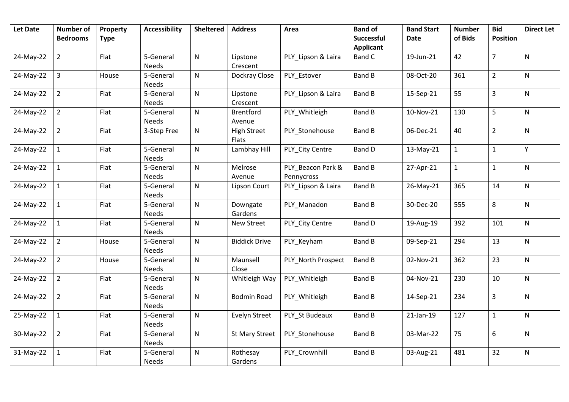| <b>Let Date</b> | Number of<br><b>Bedrooms</b> | Property<br><b>Type</b> | <b>Accessibility</b>      | <b>Sheltered</b> | <b>Address</b>              | Area                            | <b>Band of</b><br>Successful<br><b>Applicant</b> | <b>Band Start</b><br><b>Date</b> | <b>Number</b><br>of Bids | <b>Bid</b><br><b>Position</b> | <b>Direct Let</b> |
|-----------------|------------------------------|-------------------------|---------------------------|------------------|-----------------------------|---------------------------------|--------------------------------------------------|----------------------------------|--------------------------|-------------------------------|-------------------|
| 24-May-22       | $\overline{2}$               | Flat                    | 5-General<br>Needs        | ${\sf N}$        | Lipstone<br>Crescent        | PLY Lipson & Laira              | <b>Band C</b>                                    | 19-Jun-21                        | 42                       | $\overline{7}$                | N                 |
| 24-May-22       | 3                            | House                   | 5-General<br><b>Needs</b> | ${\sf N}$        | Dockray Close               | PLY_Estover                     | <b>Band B</b>                                    | 08-Oct-20                        | 361                      | $\overline{2}$                | N                 |
| 24-May-22       | $\overline{2}$               | Flat                    | 5-General<br><b>Needs</b> | ${\sf N}$        | Lipstone<br>Crescent        | PLY_Lipson & Laira              | Band B                                           | 15-Sep-21                        | 55                       | $\overline{3}$                | N                 |
| 24-May-22       | $\overline{2}$               | Flat                    | 5-General<br>Needs        | ${\sf N}$        | Brentford<br>Avenue         | PLY_Whitleigh                   | <b>Band B</b>                                    | 10-Nov-21                        | 130                      | 5                             | N                 |
| 24-May-22       | $\overline{2}$               | Flat                    | 3-Step Free               | ${\sf N}$        | <b>High Street</b><br>Flats | PLY_Stonehouse                  | Band B                                           | 06-Dec-21                        | 40                       | $\overline{2}$                | N                 |
| 24-May-22       | $\mathbf{1}$                 | Flat                    | 5-General<br><b>Needs</b> | $\mathsf{N}$     | Lambhay Hill                | PLY City Centre                 | Band D                                           | 13-May-21                        | $\mathbf{1}$             | $\mathbf{1}$                  | Υ                 |
| 24-May-22       | $\mathbf{1}$                 | Flat                    | 5-General<br><b>Needs</b> | ${\sf N}$        | Melrose<br>Avenue           | PLY_Beacon Park &<br>Pennycross | <b>Band B</b>                                    | 27-Apr-21                        | $\mathbf{1}$             | $\mathbf{1}$                  | N                 |
| 24-May-22       | $\mathbf{1}$                 | Flat                    | 5-General<br>Needs        | $\mathsf{N}$     | Lipson Court                | PLY_Lipson & Laira              | <b>Band B</b>                                    | 26-May-21                        | 365                      | 14                            | N                 |
| 24-May-22       | $\mathbf{1}$                 | Flat                    | 5-General<br>Needs        | $\mathsf{N}$     | Downgate<br>Gardens         | PLY_Manadon                     | <b>Band B</b>                                    | 30-Dec-20                        | 555                      | 8                             | N                 |
| 24-May-22       | $\mathbf{1}$                 | Flat                    | 5-General<br>Needs        | ${\sf N}$        | New Street                  | PLY_City Centre                 | Band D                                           | 19-Aug-19                        | 392                      | 101                           | N                 |
| 24-May-22       | $\overline{2}$               | House                   | 5-General<br><b>Needs</b> | $\mathsf{N}$     | <b>Biddick Drive</b>        | PLY Keyham                      | Band B                                           | 09-Sep-21                        | 294                      | 13                            | N                 |
| 24-May-22       | $\overline{2}$               | House                   | 5-General<br><b>Needs</b> | ${\sf N}$        | Maunsell<br>Close           | PLY North Prospect              | <b>Band B</b>                                    | 02-Nov-21                        | 362                      | 23                            | N                 |
| 24-May-22       | $\overline{2}$               | Flat                    | 5-General<br>Needs        | $\mathsf{N}$     | Whitleigh Way               | PLY_Whitleigh                   | <b>Band B</b>                                    | 04-Nov-21                        | 230                      | 10                            | N                 |
| 24-May-22       | $\overline{2}$               | Flat                    | 5-General<br><b>Needs</b> | $\mathsf{N}$     | <b>Bodmin Road</b>          | PLY_Whitleigh                   | Band B                                           | 14-Sep-21                        | 234                      | $\overline{3}$                | N                 |
| 25-May-22       | $\mathbf{1}$                 | Flat                    | 5-General<br>Needs        | $\mathsf{N}$     | Evelyn Street               | PLY_St Budeaux                  | Band B                                           | 21-Jan-19                        | 127                      | $\mathbf{1}$                  | N                 |
| 30-May-22       | $\overline{2}$               | Flat                    | 5-General<br>Needs        | $\mathsf{N}$     | <b>St Mary Street</b>       | PLY Stonehouse                  | <b>Band B</b>                                    | 03-Mar-22                        | 75                       | 6                             | N                 |
| 31-May-22       | $\mathbf{1}$                 | Flat                    | 5-General<br>Needs        | ${\sf N}$        | Rothesay<br>Gardens         | PLY_Crownhill                   | <b>Band B</b>                                    | 03-Aug-21                        | 481                      | 32                            | N                 |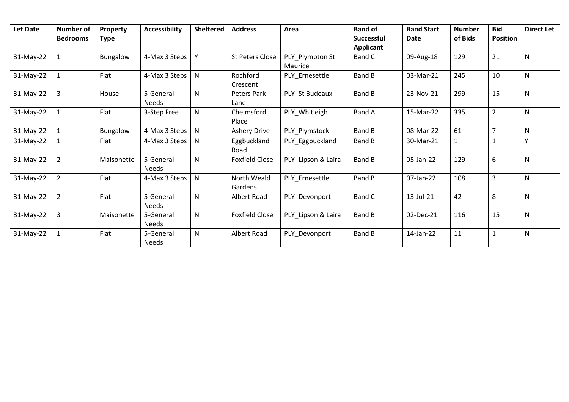| <b>Let Date</b> | <b>Number of</b><br><b>Bedrooms</b> | Property<br><b>Type</b> | <b>Accessibility</b> | <b>Sheltered</b> | <b>Address</b>         | Area                       | <b>Band of</b><br><b>Successful</b><br><b>Applicant</b> | <b>Band Start</b><br><b>Date</b> | <b>Number</b><br>of Bids | <b>Bid</b><br><b>Position</b> | <b>Direct Let</b> |
|-----------------|-------------------------------------|-------------------------|----------------------|------------------|------------------------|----------------------------|---------------------------------------------------------|----------------------------------|--------------------------|-------------------------------|-------------------|
| 31-May-22       |                                     | Bungalow                | 4-Max 3 Steps        |                  | <b>St Peters Close</b> | PLY_Plympton St<br>Maurice | Band C                                                  | 09-Aug-18                        | 129                      | 21                            | N                 |
| 31-May-22       |                                     | Flat                    | 4-Max 3 Steps        | N                | Rochford<br>Crescent   | PLY_Ernesettle             | Band B                                                  | 03-Mar-21                        | 245                      | 10                            | N                 |
| 31-May-22       | 3                                   | House                   | 5-General<br>Needs   | $\mathsf{N}$     | Peters Park<br>Lane    | PLY St Budeaux             | Band B                                                  | 23-Nov-21                        | 299                      | 15                            | N                 |
| 31-May-22       |                                     | Flat                    | 3-Step Free          | N                | Chelmsford<br>Place    | PLY Whitleigh              | <b>Band A</b>                                           | 15-Mar-22                        | 335                      | $\overline{2}$                | N                 |
| $31-May-22$     |                                     | Bungalow                | 4-Max 3 Steps        | $\mathsf{N}$     | <b>Ashery Drive</b>    | PLY Plymstock              | Band B                                                  | 08-Mar-22                        | 61                       | $\overline{7}$                | N                 |
| 31-May-22       |                                     | Flat                    | 4-Max 3 Steps        | N                | Eggbuckland<br>Road    | PLY_Eggbuckland            | <b>Band B</b>                                           | 30-Mar-21                        | 1                        | $\mathbf{1}$                  | $\checkmark$      |
| 31-May-22       |                                     | Maisonette              | 5-General<br>Needs   | N                | <b>Foxfield Close</b>  | PLY Lipson & Laira         | <b>Band B</b>                                           | 05-Jan-22                        | 129                      | 6                             | N                 |
| 31-May-22       | 2                                   | Flat                    | 4-Max 3 Steps        | $\mathsf{N}$     | North Weald<br>Gardens | PLY Ernesettle             | Band B                                                  | 07-Jan-22                        | 108                      | 3                             | N                 |
| 31-May-22       | $\overline{2}$                      | Flat                    | 5-General<br>Needs   | N                | Albert Road            | PLY_Devonport              | Band C                                                  | 13-Jul-21                        | 42                       | 8                             | N                 |
| 31-May-22       | 3                                   | Maisonette              | 5-General<br>Needs   | $\mathsf{N}$     | <b>Foxfield Close</b>  | PLY_Lipson & Laira         | Band B                                                  | 02-Dec-21                        | 116                      | 15                            | $\mathsf{N}$      |
| 31-May-22       |                                     | Flat                    | 5-General<br>Needs   | $\mathsf{N}$     | <b>Albert Road</b>     | PLY_Devonport              | Band B                                                  | 14-Jan-22                        | 11                       | $\mathbf{1}$                  | N                 |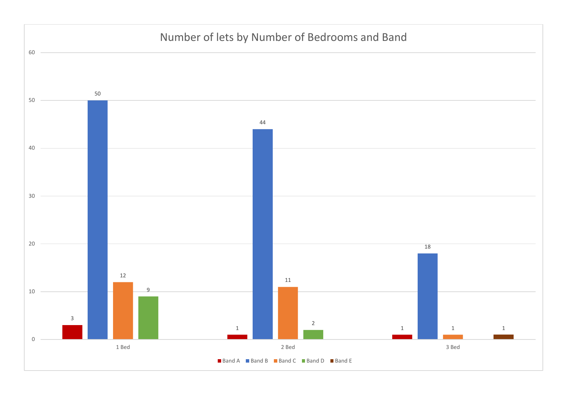